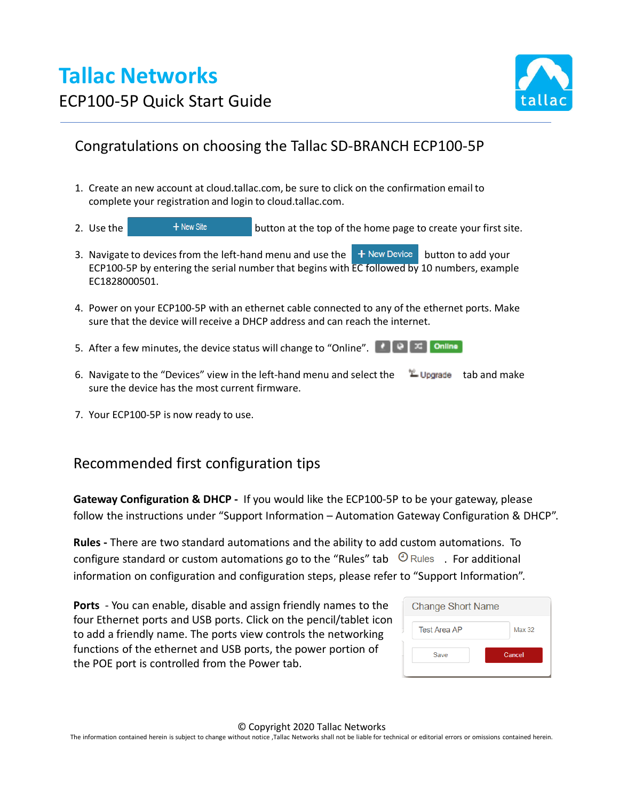# **Tallac Networks** ECP100-5P Quick Start Guide



### Congratulations on choosing the Tallac SD-BRANCH ECP100-5P

- 1. Create an new account at cloud.tallac.com, be sure to click on the confirmation email to complete your registration and login to cloud.tallac.com.
- 2. Use the  $\mathbf{f}$   $\mathbf{f}$   $\mathbf{f}$   $\mathbf{f}$   $\mathbf{f}$   $\mathbf{f}$   $\mathbf{f}$   $\mathbf{f}$   $\mathbf{f}$   $\mathbf{f}$   $\mathbf{f}$   $\mathbf{f}$   $\mathbf{f}$   $\mathbf{f}$   $\mathbf{f}$   $\mathbf{f}$   $\mathbf{f}$   $\mathbf{f}$   $\mathbf{f}$   $\mathbf{f}$   $\mathbf{f}$   $\mathbf{f}$   $\mathbf{f}$   $\math$
- 3. Navigate to devices from the left-hand menu and use the  $\mathbf{+}$  New Device button to add your ECP100-5P by entering the serial number that begins with  $EC$  followed by 10 numbers, example EC1828000501.
- 4. Power on your ECP100-5P with an ethernet cable connected to any of the ethernet ports. Make sure that the device will receive a DHCP address and can reach the internet.
- 5. After a few minutes, the device status will change to "Online".  $\begin{bmatrix} \cdot & \cdot \\ \cdot & \cdot \end{bmatrix}$  online
- 6. Navigate to the "Devices" view in the left-hand menu and select the  $\Box$  Upgrade tab and make sure the device has the most current firmware.
- 7. Your ECP100-5P is now ready to use.

### Recommended first configuration tips

**Gateway Configuration & DHCP -** If you would like the ECP100-5P to be your gateway, please follow the instructions under "Support Information – Automation Gateway Configuration & DHCP".

**Rules -** There are two standard automations and the ability to add custom automations. To configure standard or custom automations go to the "Rules" tab  $\bigcirc$  Rules . For additional information on configuration and configuration steps, please refer to "Support Information".

**Ports** - You can enable, disable and assign friendly names to the four Ethernet ports and USB ports. Click on the pencil/tablet icon to add a friendly name. The ports view controls the networking functions of the ethernet and USB ports, the power portion of the POE port is controlled from the Power tab.

| <b>Change Short Name</b> |        |  |
|--------------------------|--------|--|
| <b>Test Area AP</b>      | Max 32 |  |
| Save                     | Cancel |  |
|                          |        |  |

© Copyright 2020 Tallac Networks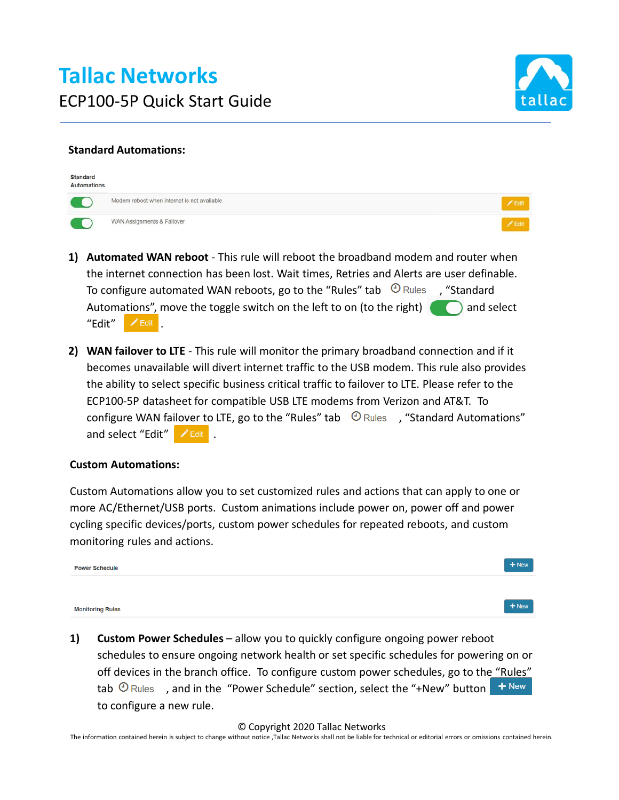

#### **Standard Automations:**

| Standard<br>Automations |                                             |             |
|-------------------------|---------------------------------------------|-------------|
|                         | Modem reboot when internet is not available |             |
|                         | WAN Assignments & Failover                  | <b>Edit</b> |

- **1) Automated WAN reboot**  This rule will reboot the broadband modem and router when the internet connection has been lost. Wait times, Retries and Alerts are user definable. To configure automated WAN reboots, go to the "Rules" tab  $\Theta$  Rules , "Standard Automations", move the toggle switch on the left to on (to the right)  $\bigcirc$  and select  $"Edit"$   $ZEdit$ .
- **2) WAN failover to LTE**  This rule will monitor the primary broadband connection and if it becomes unavailable will divert internet traffic to the USB modem. This rule also provides the ability to select specific business critical traffic to failover to LTE. Please refer to the ECP100-5P datasheet for compatible USB LTE modems from Verizon and AT&T. To configure WAN failover to LTE, go to the "Rules" tab  $\Theta$  Rules , "Standard Automations" and select "Edit" A Edit .

#### **Custom Automations:**

Custom Automations allow you to set customized rules and actions that can apply to one or more AC/Ethernet/USB ports. Custom animations include power on, power off and power cycling specific devices/ports, custom power schedules for repeated reboots, and custom monitoring rules and actions.

| <b>Power Schedule</b>   | $+$ New |  |
|-------------------------|---------|--|
|                         |         |  |
| <b>Monitoring Rules</b> | $+$ New |  |

**1) Custom Power Schedules** – allow you to quickly configure ongoing power reboot schedules to ensure ongoing network health or set specific schedules for powering on or off devices in the branch office. To configure custom power schedules, go to the "Rules" tab  $\Theta$  Rules , and in the "Power Schedule" section, select the "+New" button  $\mathbf{f}$  + New to configure a new rule.

© Copyright 2020 Tallac Networks

The information contained herein is subject to change without notice ,Tallac Networks shall not be liable for technical or editorial errors or omissions contained herein.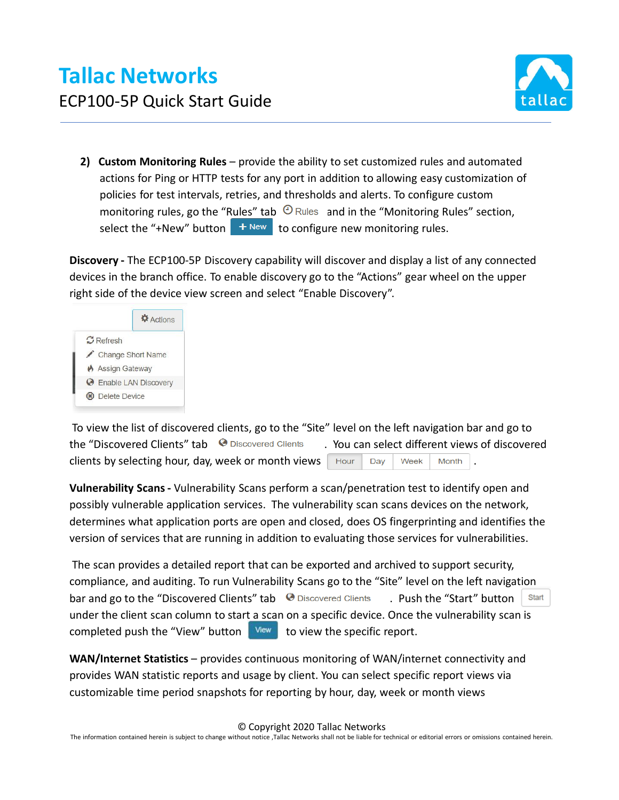

**2) Custom Monitoring Rules** – provide the ability to set customized rules and automated actions for Ping or HTTP tests for any port in addition to allowing easy customization of policies for test intervals, retries, and thresholds and alerts. To configure custom monitoring rules, go the "Rules" tab  $\Theta$  Rules and in the "Monitoring Rules" section, select the "+New" button  $\mathbf{t}$  + New  $\mathbf{t}$  to configure new monitoring rules.

**Discovery -** The ECP100-5P Discovery capability will discover and display a list of any connected devices in the branch office. To enable discovery go to the "Actions" gear wheel on the upper right side of the device view screen and select "Enable Discovery".



To view the list of discovered clients, go to the "Site" level on the left navigation bar and go to the "Discovered Clients" tab <sup>@</sup> Discovered Clients . You can select different views of discovered clients by selecting hour, day, week or month views  $\Box$  Hour  $\Box$  Day  $\Box$  Week  $\Box$  Month

**Vulnerability Scans -** Vulnerability Scans perform a scan/penetration test to identify open and possibly vulnerable application services. The vulnerability scan scans devices on the network, determines what application ports are open and closed, does OS fingerprinting and identifies the version of services that are running in addition to evaluating those services for vulnerabilities.

The scan provides a detailed report that can be exported and archived to support security, compliance, and auditing. To run Vulnerability Scans go to the "Site" level on the left navigation bar and go to the "Discovered Clients" tab  $\Theta$  Discovered Clients . Push the "Start" button Start under the client scan column to start a scan on a specific device. Once the vulnerability scan is completed push the "View" button  $\frac{1}{2}$  View to view the specific report.

**WAN/Internet Statistics** – provides continuous monitoring of WAN/internet connectivity and provides WAN statistic reports and usage by client. You can select specific report views via customizable time period snapshots for reporting by hour, day, week or month views

© Copyright 2020 Tallac Networks

The information contained herein is subject to change without notice ,Tallac Networks shall not be liable for technical or editorial errors or omissions contained herein.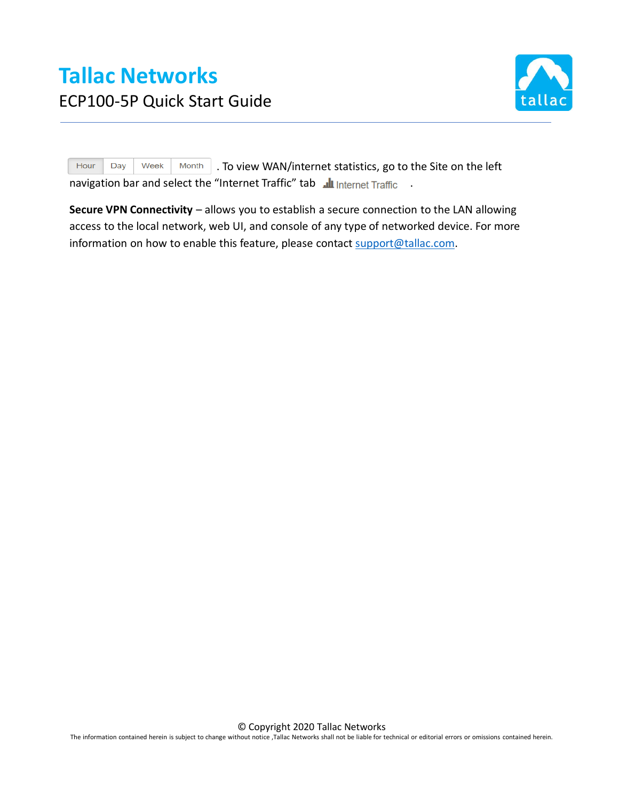

Hour Day Week Month . To view WAN/internet statistics, go to the Site on the left navigation bar and select the "Internet Traffic" tab lumerinet Traffic .

**Secure VPN Connectivity** – allows you to establish a secure connection to the LAN allowing access to the local network, web UI, and console of any type of networked device. For more information on how to enable this feature, please contact support@tallac.com.